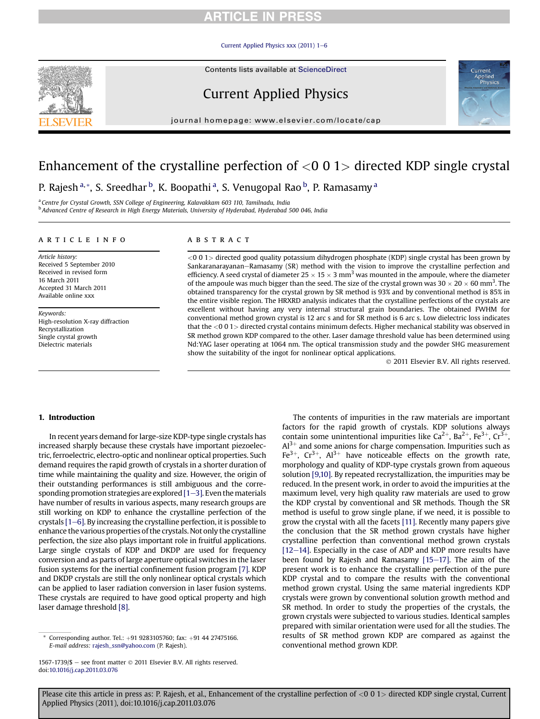# **RTICLE IN PRESS**

#### [Current Applied Physics xxx \(2011\) 1](http://dx.doi.org/10.1016/j.cap.2011.03.076)-[6](http://dx.doi.org/10.1016/j.cap.2011.03.076)



# Current Applied Physics

journal homepage: [www.elsevier.com/locate/cap](http://www.elsevier.com/locate/cap)



# Enhancement of the crystalline perfection of  $<$ 0 0 1 $>$  directed KDP single crystal

P. Rajesh<sup>a,</sup>\*, S. Sreedhar <sup>b</sup>, K. Boopathi <sup>a</sup>, S. Venugopal Rao <sup>b</sup>, P. Ramasamy <sup>a</sup>

<sup>a</sup> Centre for Crystal Growth, SSN College of Engineering, Kalavakkam 603 110, Tamilnadu, India <sup>b</sup> Advanced Centre of Research in High Energy Materials, University of Hyderabad, Hyderabad 500 046, India

#### article info

Article history: Received 5 September 2010 Received in revised form 16 March 2011 Accepted 31 March 2011 Available online xxx

Keywords: High-resolution X-ray diffraction Recrystallization Single crystal growth Dielectric materials

## ABSTRACT

<001> directed good quality potassium dihydrogen phosphate (KDP) single crystal has been grown by Sankaranarayanan–Ramasamy (SR) method with the vision to improve the crystalline perfection and efficiency. A seed crystal of diameter  $25 \times 15 \times 3$  mm<sup>3</sup> was mounted in the ampoule, where the diameter of the ampoule was much bigger than the seed. The size of the crystal grown was  $30 \times 20 \times 60$  mm<sup>3</sup>. The obtained transparency for the crystal grown by SR method is 93% and by conventional method is 85% in the entire visible region. The HRXRD analysis indicates that the crystalline perfections of the crystals are excellent without having any very internal structural grain boundaries. The obtained FWHM for conventional method grown crystal is 12 arc s and for SR method is 6 arc s. Low dielectric loss indicates that the <0 0 1> directed crystal contains minimum defects. Higher mechanical stability was observed in SR method grown KDP compared to the other. Laser damage threshold value has been determined using Nd:YAG laser operating at 1064 nm. The optical transmission study and the powder SHG measurement show the suitability of the ingot for nonlinear optical applications.

2011 Elsevier B.V. All rights reserved.

#### 1. Introduction

In recent years demand for large-size KDP-type single crystals has increased sharply because these crystals have important piezoelectric, ferroelectric, electro-optic and nonlinear optical properties. Such demand requires the rapid growth of crystals in a shorter duration of time while maintaining the quality and size. However, the origin of their outstanding performances is still ambiguous and the corresponding promotion strategies are explored  $[1-3]$  $[1-3]$  $[1-3]$ . Even the materials have number of results in various aspects, many research groups are still working on KDP to enhance the crystalline perfection of the crystals  $[1-6]$  $[1-6]$ . By increasing the crystalline perfection, it is possible to enhance the various properties of the crystals. Not only the crystalline perfection, the size also plays important role in fruitful applications. Large single crystals of KDP and DKDP are used for frequency conversion and as parts of large aperture optical switches in the laser fusion systems for the inertial confinement fusion program [\[7\].](#page-5-0) KDP and DKDP crystals are still the only nonlinear optical crystals which can be applied to laser radiation conversion in laser fusion systems. These crystals are required to have good optical property and high laser damage threshold [\[8\]](#page-5-0).

Corresponding author. Tel.: +91 9283105760; fax: +91 44 27475166. E-mail address: [rajesh\\_ssn@yahoo.com](mailto:rajesh_ssn@yahoo.com) (P. Rajesh).

The contents of impurities in the raw materials are important factors for the rapid growth of crystals. KDP solutions always contain some unintentional impurities like  $Ca^{2+}$ , Ba<sup>2+</sup>, Fe<sup>3+</sup>, Cr<sup>3+</sup>,  $Al^{3+}$  and some anions for charge compensation. Impurities such as Fe<sup>3+</sup>,  $Cr^{3+}$ ,  $Al^{3+}$  have noticeable effects on the growth rate, morphology and quality of KDP-type crystals grown from aqueous solution [\[9,10\]](#page-5-0). By repeated recrystallization, the impurities may be reduced. In the present work, in order to avoid the impurities at the maximum level, very high quality raw materials are used to grow the KDP crystal by conventional and SR methods. Though the SR method is useful to grow single plane, if we need, it is possible to grow the crystal with all the facets [\[11\]](#page-5-0). Recently many papers give the conclusion that the SR method grown crystals have higher crystalline perfection than conventional method grown crystals  $[12-14]$  $[12-14]$  $[12-14]$ . Especially in the case of ADP and KDP more results have been found by Rajesh and Ramasamy  $[15-17]$  $[15-17]$ . The aim of the present work is to enhance the crystalline perfection of the pure KDP crystal and to compare the results with the conventional method grown crystal. Using the same material ingredients KDP crystals were grown by conventional solution growth method and SR method. In order to study the properties of the crystals, the grown crystals were subjected to various studies. Identical samples prepared with similar orientation were used for all the studies. The results of SR method grown KDP are compared as against the conventional method grown KDP.

Please cite this article in press as: P. Rajesh, et al., Enhancement of the crystalline perfection of <0 0 1> directed KDP single crystal, Current Applied Physics (2011), doi:10.1016/j.cap.2011.03.076

<sup>1567-1739/\$ -</sup> see front matter © 2011 Elsevier B.V. All rights reserved. doi[:10.1016/j.cap.2011.03.076](http://dx.doi.org/10.1016/j.cap.2011.03.076)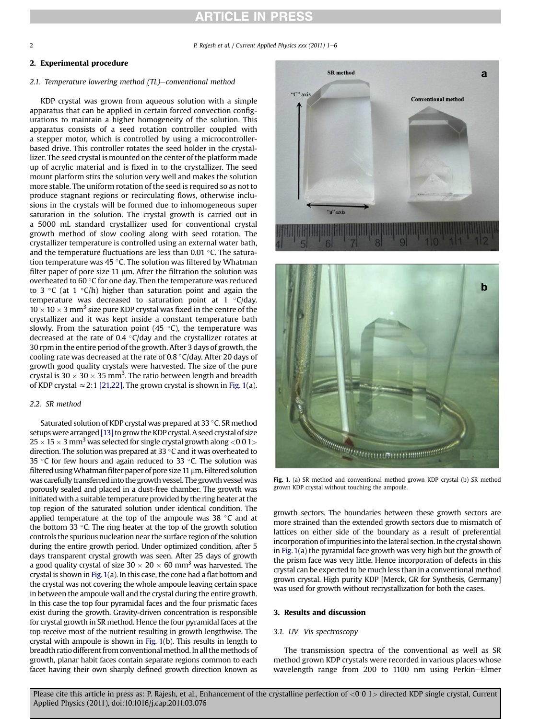# **ARTICLE IN PRESS**

<span id="page-1-0"></span>2 **P. Rajesh et al. / Current Applied Physics xxx (2011) 1–6** 

## 2. Experimental procedure

## 2.1. Temperature lowering method  $(TL)$ -conventional method

KDP crystal was grown from aqueous solution with a simple apparatus that can be applied in certain forced convection configurations to maintain a higher homogeneity of the solution. This apparatus consists of a seed rotation controller coupled with a stepper motor, which is controlled by using a microcontrollerbased drive. This controller rotates the seed holder in the crystallizer. The seed crystal is mounted on the center of the platform made up of acrylic material and is fixed in to the crystallizer. The seed mount platform stirs the solution very well and makes the solution more stable. The uniform rotation of the seed is required so as not to produce stagnant regions or recirculating flows, otherwise inclusions in the crystals will be formed due to inhomogeneous super saturation in the solution. The crystal growth is carried out in a 5000 mL standard crystallizer used for conventional crystal growth method of slow cooling along with seed rotation. The crystallizer temperature is controlled using an external water bath, and the temperature fluctuations are less than 0.01  $\,^{\circ}$ C. The saturation temperature was 45  $\degree$ C. The solution was filtered by Whatman filter paper of pore size 11  $\mu$ m. After the filtration the solution was overheated to 60 $\degree$ C for one day. Then the temperature was reduced to 3  $\degree$ C (at 1  $\degree$ C/h) higher than saturation point and again the temperature was decreased to saturation point at  $1 \degree C$ /day.  $10 \times 10 \times 3$  mm<sup>3</sup> size pure KDP crystal was fixed in the centre of the crystallizer and it was kept inside a constant temperature bath slowly. From the saturation point  $(45 \degree C)$ , the temperature was decreased at the rate of 0.4  $\degree$ C/day and the crystallizer rotates at 30 rpm in the entire period of the growth. After 3 days of growth, the cooling rate was decreased at the rate of 0.8  $\degree$ C/day. After 20 days of growth good quality crystals were harvested. The size of the pure crystal is  $30 \times 30 \times 35$  mm<sup>3</sup>. The ratio between length and breadth of KDP crystal  $\approx$  2:1 [\[21,22\]](#page-5-0). The grown crystal is shown in Fig. 1(a).

### 2.2. SR method

Saturated solution of KDP crystal was prepared at 33 °C. SR method setups were arranged [\[13\]](#page-5-0) to grow the KDP crystal. A seed crystal of size  $25 \times 15 \times 3$  mm<sup>3</sup> was selected for single crystal growth along <0 0 1 > direction. The solution was prepared at 33 $\degree$ C and it was overheated to 35 °C for few hours and again reduced to 33 °C. The solution was filtered using Whatman filter paper of pore size 11  $\mu$ m. Filtered solution was carefully transferred into the growth vessel. The growth vessel was porously sealed and placed in a dust-free chamber. The growth was initiated with a suitable temperature provided by the ring heater at the top region of the saturated solution under identical condition. The applied temperature at the top of the ampoule was  $38 \degree C$  and at the bottom 33 $\degree$ C. The ring heater at the top of the growth solution controls the spurious nucleation near the surface region of the solution during the entire growth period. Under optimized condition, after 5 days transparent crystal growth was seen. After 25 days of growth a good quality crystal of size  $30 \times 20 \times 60$  mm<sup>3</sup> was harvested. The crystal is shown in Fig.1(a). In this case, the cone had a flat bottom and the crystal was not covering the whole ampoule leaving certain space in between the ampoule wall and the crystal during the entire growth. In this case the top four pyramidal faces and the four prismatic faces exist during the growth. Gravity-driven concentration is responsible for crystal growth in SR method. Hence the four pyramidal faces at the top receive most of the nutrient resulting in growth lengthwise. The crystal with ampoule is shown in Fig. 1(b). This results in length to breadth ratio different from conventional method. In all the methods of growth, planar habit faces contain separate regions common to each facet having their own sharply defined growth direction known as





Fig. 1. (a) SR method and conventional method grown KDP crystal (b) SR method grown KDP crystal without touching the ampoule.

growth sectors. The boundaries between these growth sectors are more strained than the extended growth sectors due to mismatch of lattices on either side of the boundary as a result of preferential incorporation of impurities into the lateral section. In the crystal shown in Fig. 1(a) the pyramidal face growth was very high but the growth of the prism face was very little. Hence incorporation of defects in this crystal can be expected to be much less than in a conventional method grown crystal. High purity KDP [Merck, GR for Synthesis, Germany] was used for growth without recrystallization for both the cases.

### 3. Results and discussion

#### 3.1. UV-Vis spectroscopy

The transmission spectra of the conventional as well as SR method grown KDP crystals were recorded in various places whose wavelength range from 200 to 1100 nm using Perkin-Elmer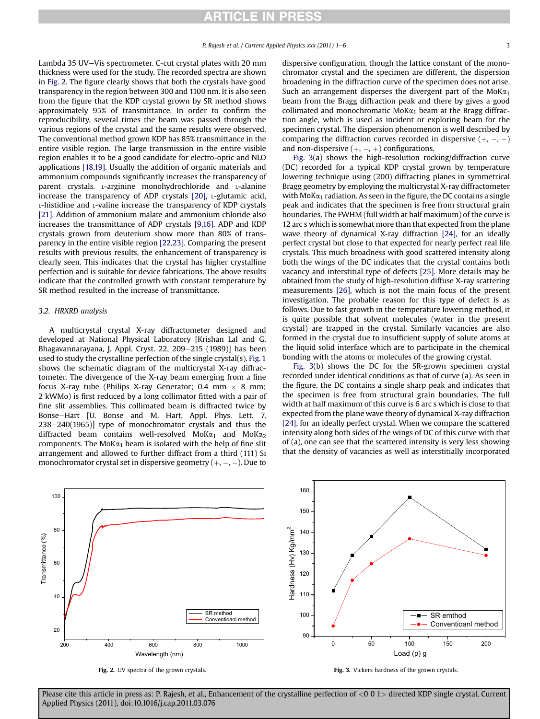Lambda 35 UV-Vis spectrometer. C-cut crystal plates with 20 mm thickness were used for the study. The recorded spectra are shown in Fig. 2. The figure clearly shows that both the crystals have good transparency in the region between 300 and 1100 nm. It is also seen from the figure that the KDP crystal grown by SR method shows approximately 95% of transmittance. In order to confirm the reproducibility, several times the beam was passed through the various regions of the crystal and the same results were observed. The conventional method grown KDP has 85% transmittance in the entire visible region. The large transmission in the entire visible region enables it to be a good candidate for electro-optic and NLO applications [\[18,19\].](#page-5-0) Usually the addition of organic materials and ammonium compounds significantly increases the transparency of parent crystals. L-arginine monohydrochloride and L-alanine increase the transparency of ADP crystals [\[20\],](#page-5-0) L-glutamic acid, L-histidine and L-valine increase the transparency of KDP crystals [\[21\].](#page-5-0) Addition of ammonium malate and ammonium chloride also increases the transmittance of ADP crystals [\[9,16\]](#page-5-0). ADP and KDP crystals grown from deuterium show more than 80% of transparency in the entire visible region [\[22,23\].](#page-5-0) Comparing the present results with previous results, the enhancement of transparency is clearly seen. This indicates that the crystal has higher crystalline perfection and is suitable for device fabrications. The above results indicate that the controlled growth with constant temperature by SR method resulted in the increase of transmittance.

#### 3.2. HRXRD analysis

A multicrystal crystal X-ray diffractometer designed and developed at National Physical Laboratory [Krishan Lal and G. Bhagavannarayana, J. Appl. Cryst. 22, 209–215 (1989)] has been used to study the crystalline perfection of the single crystal(s). [Fig. 1](#page-1-0) shows the schematic diagram of the multicrystal X-ray diffractometer. The divergence of the X-ray beam emerging from a fine focus X-ray tube (Philips X-ray Generator; 0.4 mm  $\times$  8 mm; 2 kWMo) is first reduced by a long collimator fitted with a pair of fine slit assemblies. This collimated beam is diffracted twice by Bonse-Hart [U. Bonse and M. Hart, Appl. Phys. Lett. 7,  $238-240(1965)$ ] type of monochromator crystals and thus the diffracted beam contains well-resolved MoK $\alpha_1$  and MoK $\alpha_2$ components. The MoK $\alpha_1$  beam is isolated with the help of fine slit arrangement and allowed to further diffract from a third (111) Si monochromator crystal set in dispersive geometry  $(+, -, -)$ . Due to dispersive configuration, though the lattice constant of the monochromator crystal and the specimen are different, the dispersion broadening in the diffraction curve of the specimen does not arise. Such an arrangement disperses the divergent part of the MoK $\alpha_1$ beam from the Bragg diffraction peak and there by gives a good collimated and monochromatic MoK $\alpha_1$  beam at the Bragg diffraction angle, which is used as incident or exploring beam for the specimen crystal. The dispersion phenomenon is well described by comparing the diffraction curves recorded in dispersive  $(+, -, -)$ and non-dispersive  $(+, -, +)$  configurations.

Fig. 3(a) shows the high-resolution rocking/diffraction curve (DC) recorded for a typical KDP crystal grown by temperature lowering technique using (200) diffracting planes in symmetrical Bragg geometry by employing the multicrystal X-ray diffractometer with MoK $\alpha_1$  radiation. As seen in the figure, the DC contains a single peak and indicates that the specimen is free from structural grain boundaries. The FWHM (full width at half maximum) of the curve is 12 arc s which is somewhat more than that expected from the plane wave theory of dynamical X-ray diffraction [\[24\],](#page-5-0) for an ideally perfect crystal but close to that expected for nearly perfect real life crystals. This much broadness with good scattered intensity along both the wings of the DC indicates that the crystal contains both vacancy and interstitial type of defects [\[25\].](#page-5-0) More details may be obtained from the study of high-resolution diffuse X-ray scattering measurements [\[26\]](#page-5-0), which is not the main focus of the present investigation. The probable reason for this type of defect is as follows. Due to fast growth in the temperature lowering method, it is quite possible that solvent molecules (water in the present crystal) are trapped in the crystal. Similarly vacancies are also formed in the crystal due to insufficient supply of solute atoms at the liquid solid interface which are to participate in the chemical bonding with the atoms or molecules of the growing crystal.

Fig. 3(b) shows the DC for the SR-grown specimen crystal recorded under identical conditions as that of curve (a). As seen in the figure, the DC contains a single sharp peak and indicates that the specimen is free from structural grain boundaries. The full width at half maximum of this curve is 6 arc s which is close to that expected from the plane wave theory of dynamical X-ray diffraction [\[24\],](#page-5-0) for an ideally perfect crystal. When we compare the scattered intensity along both sides of the wings of DC of this curve with that of (a), one can see that the scattered intensity is very less showing that the density of vacancies as well as interstitially incorporated



Fig. 2. UV spectra of the grown crystals.

Fig. 3. Vickers hardness of the grown crystals.

Please cite this article in press as: P. Rajesh, et al., Enhancement of the crystalline perfection of <0 0 1> directed KDP single crystal, Current Applied Physics (2011), doi:10.1016/j.cap.2011.03.076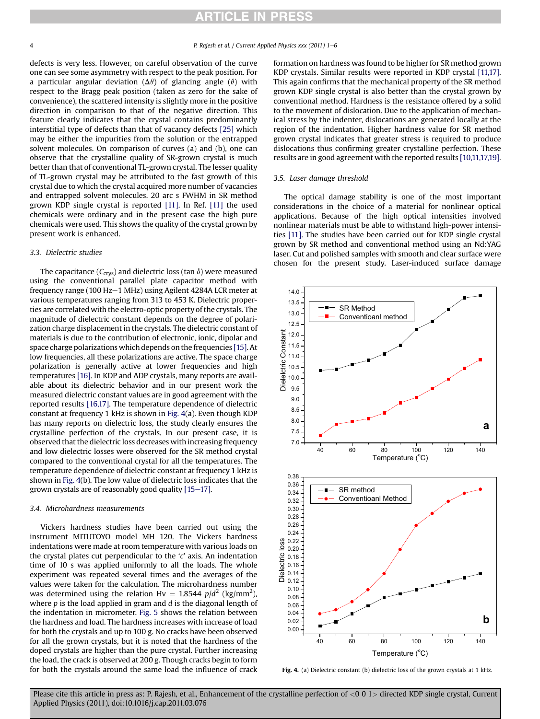defects is very less. However, on careful observation of the curve one can see some asymmetry with respect to the peak position. For a particular angular deviation ( $\Delta\theta$ ) of glancing angle ( $\theta$ ) with respect to the Bragg peak position (taken as zero for the sake of convenience), the scattered intensity is slightly more in the positive direction in comparison to that of the negative direction. This feature clearly indicates that the crystal contains predominantly interstitial type of defects than that of vacancy defects [\[25\]](#page-5-0) which may be either the impurities from the solution or the entrapped solvent molecules. On comparison of curves (a) and (b), one can observe that the crystalline quality of SR-grown crystal is much better than that of conventional TL-grown crystal. The lesser quality of TL-grown crystal may be attributed to the fast growth of this crystal due to which the crystal acquired more number of vacancies and entrapped solvent molecules. 20 arc s FWHM in SR method grown KDP single crystal is reported [\[11\].](#page-5-0) In Ref. [\[11\]](#page-5-0) the used chemicals were ordinary and in the present case the high pure chemicals were used. This shows the quality of the crystal grown by present work is enhanced.

### 3.3. Dielectric studies

The capacitance ( $C_{\text{crys}}$ ) and dielectric loss (tan  $\delta$ ) were measured using the conventional parallel plate capacitor method with frequency range (100 Hz-1 MHz) using Agilent 4284A LCR meter at various temperatures ranging from 313 to 453 K. Dielectric properties are correlated with the electro-optic property of the crystals. The magnitude of dielectric constant depends on the degree of polarization charge displacement in the crystals. The dielectric constant of materials is due to the contribution of electronic, ionic, dipolar and space charge polarizations which depends on the frequencies [\[15\]](#page-5-0). At low frequencies, all these polarizations are active. The space charge polarization is generally active at lower frequencies and high temperatures [\[16\].](#page-5-0) In KDP and ADP crystals, many reports are available about its dielectric behavior and in our present work the measured dielectric constant values are in good agreement with the reported results [\[16,17\]](#page-5-0). The temperature dependence of dielectric constant at frequency 1 kHz is shown in Fig. 4(a). Even though KDP has many reports on dielectric loss, the study clearly ensures the crystalline perfection of the crystals. In our present case, it is observed that the dielectric loss decreases with increasing frequency and low dielectric losses were observed for the SR method crystal compared to the conventional crystal for all the temperatures. The temperature dependence of dielectric constant at frequency 1 kHz is shown in Fig. 4(b). The low value of dielectric loss indicates that the grown crystals are of reasonably good quality  $[15-17]$  $[15-17]$  $[15-17]$ .

# 3.4. Microhardness measurements

Vickers hardness studies have been carried out using the instrument MITUTOYO model MH 120. The Vickers hardness indentations were made at room temperature with various loads on the crystal plates cut perpendicular to the 'c' axis. An indentation time of 10 s was applied uniformly to all the loads. The whole experiment was repeated several times and the averages of the values were taken for the calculation. The microhardness number was determined using the relation Hv =  $1.8544$  p/d<sup>2</sup> (kg/mm<sup>2</sup>), where  $p$  is the load applied in gram and  $d$  is the diagonal length of the indentation in micrometer. [Fig. 5](#page-4-0) shows the relation between the hardness and load. The hardness increases with increase of load for both the crystals and up to 100 g. No cracks have been observed for all the grown crystals, but it is noted that the hardness of the doped crystals are higher than the pure crystal. Further increasing the load, the crack is observed at 200 g. Though cracks begin to form for both the crystals around the same load the influence of crack formation on hardness was found to be higher for SR method grown KDP crystals. Similar results were reported in KDP crystal [\[11,17\].](#page-5-0) This again confirms that the mechanical property of the SR method grown KDP single crystal is also better than the crystal grown by conventional method. Hardness is the resistance offered by a solid to the movement of dislocation. Due to the application of mechanical stress by the indenter, dislocations are generated locally at the region of the indentation. Higher hardness value for SR method grown crystal indicates that greater stress is required to produce dislocations thus confirming greater crystalline perfection. These results are in good agreement with the reported results [\[10,11,17,19\].](#page-5-0)

# 3.5. Laser damage threshold

The optical damage stability is one of the most important considerations in the choice of a material for nonlinear optical applications. Because of the high optical intensities involved nonlinear materials must be able to withstand high-power intensities [\[11\]](#page-5-0). The studies have been carried out for KDP single crystal grown by SR method and conventional method using an Nd:YAG laser. Cut and polished samples with smooth and clear surface were chosen for the present study. Laser-induced surface damage



Fig. 4. (a) Dielectric constant (b) dielectric loss of the grown crystals at 1 kHz.

Please cite this article in press as: P. Rajesh, et al., Enhancement of the crystalline perfection of <0 0 1> directed KDP single crystal, Current Applied Physics (2011), doi:10.1016/j.cap.2011.03.076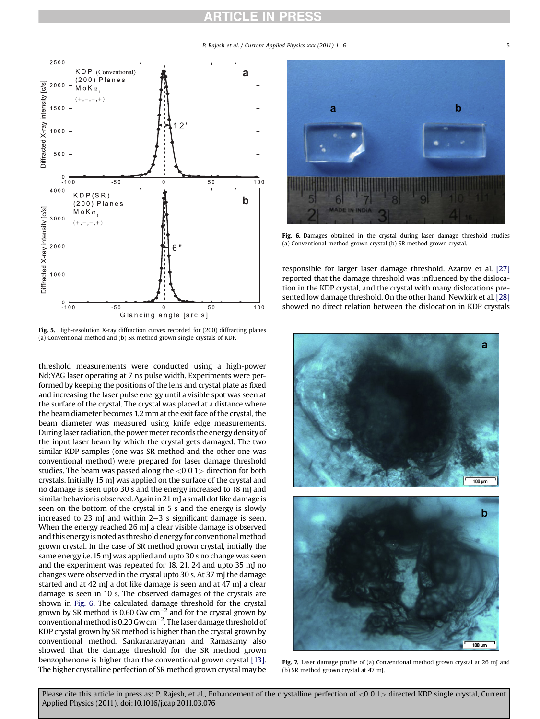# **ARTICLE IN PRESS**

P. Rajesh et al. / Current Applied Physics xxx (2011) 1-6

<span id="page-4-0"></span>

Fig. 5. High-resolution X-ray diffraction curves recorded for (200) diffracting planes (a) Conventional method and (b) SR method grown single crystals of KDP.

threshold measurements were conducted using a high-power Nd:YAG laser operating at 7 ns pulse width. Experiments were performed by keeping the positions of the lens and crystal plate as fixed and increasing the laser pulse energy until a visible spot was seen at the surface of the crystal. The crystal was placed at a distance where the beam diameter becomes 1.2 mm at the exit face of the crystal, the beam diameter was measured using knife edge measurements. Duringlaser radiation, the powermeter records the energy density of the input laser beam by which the crystal gets damaged. The two similar KDP samples (one was SR method and the other one was conventional method) were prepared for laser damage threshold studies. The beam was passed along the  $<$ 0 0 1 $>$  direction for both crystals. Initially 15 mJ was applied on the surface of the crystal and no damage is seen upto 30 s and the energy increased to 18 mJ and similar behavior is observed. Again in 21 mJ a small dot like damage is seen on the bottom of the crystal in 5 s and the energy is slowly increased to 23 mJ and within  $2-3$  s significant damage is seen. When the energy reached 26 mJ a clear visible damage is observed and this energy is noted as threshold energy for conventional method grown crystal. In the case of SR method grown crystal, initially the same energy i.e. 15 mJ was applied and upto 30 s no change was seen and the experiment was repeated for 18, 21, 24 and upto 35 mJ no changes were observed in the crystal upto 30 s. At 37 mJ the damage started and at 42 mJ a dot like damage is seen and at 47 mJ a clear damage is seen in 10 s. The observed damages of the crystals are shown in Fig. 6. The calculated damage threshold for the crystal grown by SR method is 0.60 Gw cm $^{-2}$  and for the crystal grown by conventional method is 0.20 Gw cm $^{-2}$ . The laser damage threshold of KDP crystal grown by SR method is higher than the crystal grown by conventional method. Sankaranarayanan and Ramasamy also showed that the damage threshold for the SR method grown benzophenone is higher than the conventional grown crystal [\[13\].](#page-5-0) The higher crystalline perfection of SR method grown crystal may be



Fig. 6. Damages obtained in the crystal during laser damage threshold studies (a) Conventional method grown crystal (b) SR method grown crystal.

responsible for larger laser damage threshold. Azarov et al. [\[27\]](#page-5-0) reported that the damage threshold was influenced by the dislocation in the KDP crystal, and the crystal with many dislocations presented low damage threshold. On the other hand, Newkirk et al. [\[28\]](#page-5-0) showed no direct relation between the dislocation in KDP crystals



Fig. 7. Laser damage profile of (a) Conventional method grown crystal at 26 mJ and (b) SR method grown crystal at 47 mJ.

Please cite this article in press as: P. Rajesh, et al., Enhancement of the crystalline perfection of <0 0 1 > directed KDP single crystal, Current Applied Physics (2011), doi:10.1016/j.cap.2011.03.076